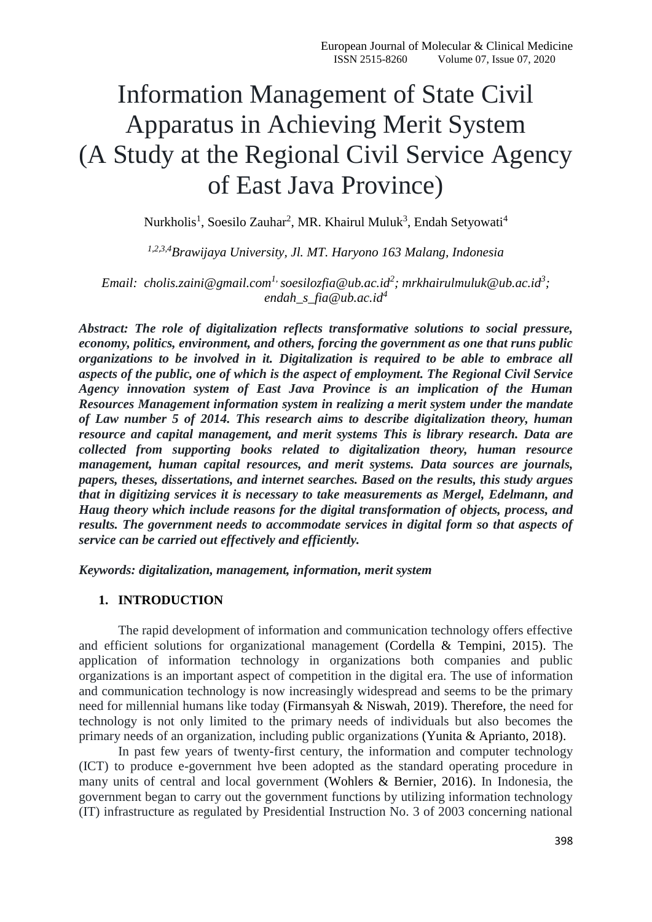# Information Management of State Civil Apparatus in Achieving Merit System (A Study at the Regional Civil Service Agency of East Java Province)

Nurkholis<sup>1</sup>, Soesilo Zauhar<sup>2</sup>, MR. Khairul Muluk<sup>3</sup>, Endah Setyowati<sup>4</sup>

*1,2,3,4Brawijaya University, Jl. MT. Haryono 163 Malang, Indonesia*

*Email: [cholis.zaini@gmail.com](mailto:cholis.zaini@gmail.com1)1, [soesilozfia@ub.ac.id](mailto:soesilozfia@ub.ac.id)<sup>2</sup> ; [mrkhairulmuluk@ub.ac.id](mailto:mrkhairulmuluk@ub.ac.id)<sup>3</sup> ; [endah\\_s\\_fia@ub.ac.id](mailto:endah_s_fia@ub.ac.id4)<sup>4</sup>*

*Abstract: The role of digitalization reflects transformative solutions to social pressure, economy, politics, environment, and others, forcing the government as one that runs public organizations to be involved in it. Digitalization is required to be able to embrace all aspects of the public, one of which is the aspect of employment. The Regional Civil Service Agency innovation system of East Java Province is an implication of the Human Resources Management information system in realizing a merit system under the mandate of Law number 5 of 2014. This research aims to describe digitalization theory, human resource and capital management, and merit systems This is library research. Data are collected from supporting books related to digitalization theory, human resource management, human capital resources, and merit systems. Data sources are journals, papers, theses, dissertations, and internet searches. Based on the results, this study argues that in digitizing services it is necessary to take measurements as Mergel, Edelmann, and Haug theory which include reasons for the digital transformation of objects, process, and results. The government needs to accommodate services in digital form so that aspects of service can be carried out effectively and efficiently.* 

*Keywords: digitalization, management, information, merit system*

#### **1. INTRODUCTION**

The rapid development of information and communication technology offers effective and efficient solutions for organizational management (Cordella & Tempini, 2015). The application of information technology in organizations both companies and public organizations is an important aspect of competition in the digital era. The use of information and communication technology is now increasingly widespread and seems to be the primary need for millennial humans like today (Firmansyah & Niswah, 2019). Therefore, the need for technology is not only limited to the primary needs of individuals but also becomes the primary needs of an organization, including public organizations (Yunita & Aprianto, 2018).

In past few years of twenty-first century, the information and computer technology (ICT) to produce e-government hve been adopted as the standard operating procedure in many units of central and local government (Wohlers & Bernier, 2016). In Indonesia, the government began to carry out the government functions by utilizing information technology (IT) infrastructure as regulated by Presidential Instruction No. 3 of 2003 concerning national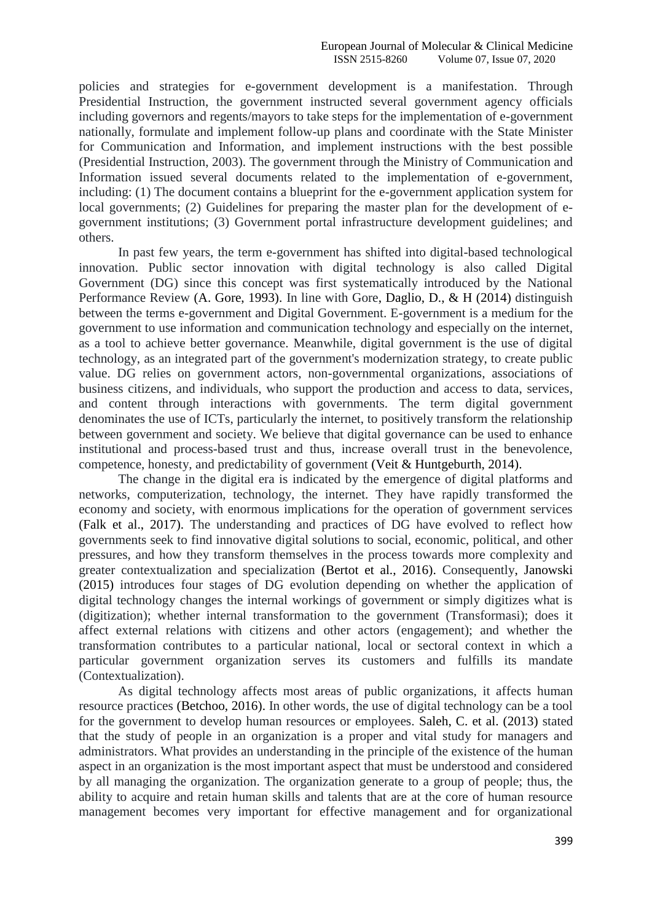policies and strategies for e-government development is a manifestation. Through Presidential Instruction, the government instructed several government agency officials including governors and regents/mayors to take steps for the implementation of e-government nationally, formulate and implement follow-up plans and coordinate with the State Minister for Communication and Information, and implement instructions with the best possible (Presidential Instruction, 2003). The government through the Ministry of Communication and Information issued several documents related to the implementation of e-government, including: (1) The document contains a blueprint for the e-government application system for local governments; (2) Guidelines for preparing the master plan for the development of egovernment institutions; (3) Government portal infrastructure development guidelines; and others.

In past few years, the term e-government has shifted into digital-based technological innovation. Public sector innovation with digital technology is also called Digital Government (DG) since this concept was first systematically introduced by the National Performance Review (A. Gore, 1993). In line with Gore, Daglio, D., & H (2014) distinguish between the terms e-government and Digital Government. E-government is a medium for the government to use information and communication technology and especially on the internet, as a tool to achieve better governance. Meanwhile, digital government is the use of digital technology, as an integrated part of the government's modernization strategy, to create public value. DG relies on government actors, non-governmental organizations, associations of business citizens, and individuals, who support the production and access to data, services, and content through interactions with governments. The term digital government denominates the use of ICTs, particularly the internet, to positively transform the relationship between government and society. We believe that digital governance can be used to enhance institutional and process-based trust and thus, increase overall trust in the benevolence, competence, honesty, and predictability of government (Veit & Huntgeburth, 2014).

The change in the digital era is indicated by the emergence of digital platforms and networks, computerization, technology, the internet. They have rapidly transformed the economy and society, with enormous implications for the operation of government services (Falk et al., 2017). The understanding and practices of DG have evolved to reflect how governments seek to find innovative digital solutions to social, economic, political, and other pressures, and how they transform themselves in the process towards more complexity and greater contextualization and specialization (Bertot et al., 2016). Consequently, Janowski (2015) introduces four stages of DG evolution depending on whether the application of digital technology changes the internal workings of government or simply digitizes what is (digitization); whether internal transformation to the government (Transformasi); does it affect external relations with citizens and other actors (engagement); and whether the transformation contributes to a particular national, local or sectoral context in which a particular government organization serves its customers and fulfills its mandate (Contextualization).

As digital technology affects most areas of public organizations, it affects human resource practices (Betchoo, 2016). In other words, the use of digital technology can be a tool for the government to develop human resources or employees. Saleh, C. et al. (2013) stated that the study of people in an organization is a proper and vital study for managers and administrators. What provides an understanding in the principle of the existence of the human aspect in an organization is the most important aspect that must be understood and considered by all managing the organization. The organization generate to a group of people; thus, the ability to acquire and retain human skills and talents that are at the core of human resource management becomes very important for effective management and for organizational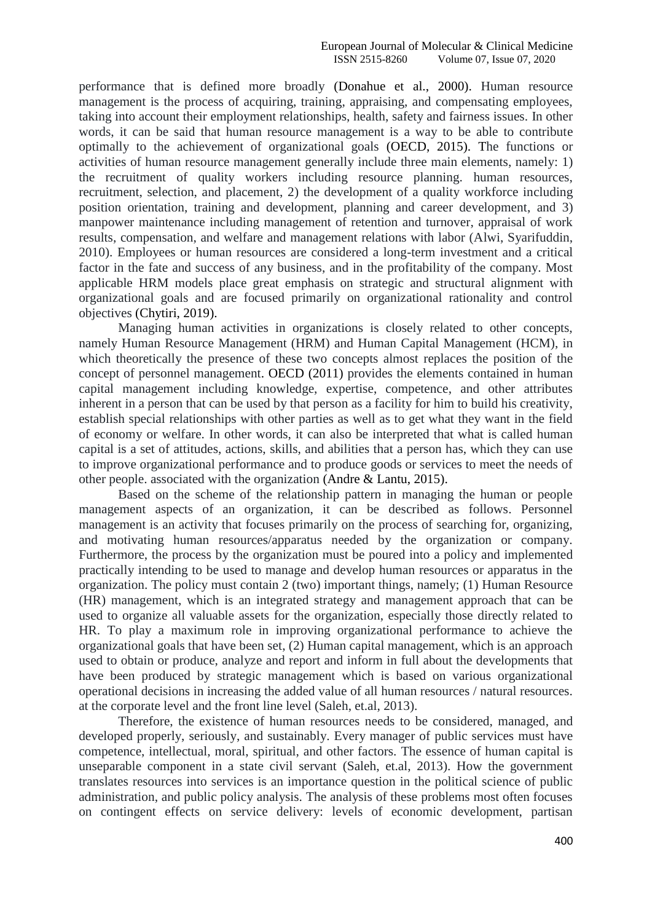#### European Journal of Molecular & Clinical Medicine<br>ISSN 2515-8260 Volume 07. Issue 07. 2020 Volume 07, Issue 07, 2020

performance that is defined more broadly (Donahue et al., 2000). Human resource management is the process of acquiring, training, appraising, and compensating employees, taking into account their employment relationships, health, safety and fairness issues. In other words, it can be said that human resource management is a way to be able to contribute optimally to the achievement of organizational goals (OECD, 2015). The functions or activities of human resource management generally include three main elements, namely: 1) the recruitment of quality workers including resource planning. human resources, recruitment, selection, and placement, 2) the development of a quality workforce including position orientation, training and development, planning and career development, and 3) manpower maintenance including management of retention and turnover, appraisal of work results, compensation, and welfare and management relations with labor (Alwi, Syarifuddin, 2010). Employees or human resources are considered a long-term investment and a critical factor in the fate and success of any business, and in the profitability of the company. Most applicable HRM models place great emphasis on strategic and structural alignment with organizational goals and are focused primarily on organizational rationality and control objectives (Chytiri, 2019).

Managing human activities in organizations is closely related to other concepts, namely Human Resource Management (HRM) and Human Capital Management (HCM), in which theoretically the presence of these two concepts almost replaces the position of the concept of personnel management. OECD (2011) provides the elements contained in human capital management including knowledge, expertise, competence, and other attributes inherent in a person that can be used by that person as a facility for him to build his creativity, establish special relationships with other parties as well as to get what they want in the field of economy or welfare. In other words, it can also be interpreted that what is called human capital is a set of attitudes, actions, skills, and abilities that a person has, which they can use to improve organizational performance and to produce goods or services to meet the needs of other people. associated with the organization (Andre & Lantu, 2015).

Based on the scheme of the relationship pattern in managing the human or people management aspects of an organization, it can be described as follows. Personnel management is an activity that focuses primarily on the process of searching for, organizing, and motivating human resources/apparatus needed by the organization or company. Furthermore, the process by the organization must be poured into a policy and implemented practically intending to be used to manage and develop human resources or apparatus in the organization. The policy must contain 2 (two) important things, namely; (1) Human Resource (HR) management, which is an integrated strategy and management approach that can be used to organize all valuable assets for the organization, especially those directly related to HR. To play a maximum role in improving organizational performance to achieve the organizational goals that have been set, (2) Human capital management, which is an approach used to obtain or produce, analyze and report and inform in full about the developments that have been produced by strategic management which is based on various organizational operational decisions in increasing the added value of all human resources / natural resources. at the corporate level and the front line level (Saleh, et.al, 2013).

Therefore, the existence of human resources needs to be considered, managed, and developed properly, seriously, and sustainably. Every manager of public services must have competence, intellectual, moral, spiritual, and other factors. The essence of human capital is unseparable component in a state civil servant (Saleh, et.al, 2013). How the government translates resources into services is an importance question in the political science of public administration, and public policy analysis. The analysis of these problems most often focuses on contingent effects on service delivery: levels of economic development, partisan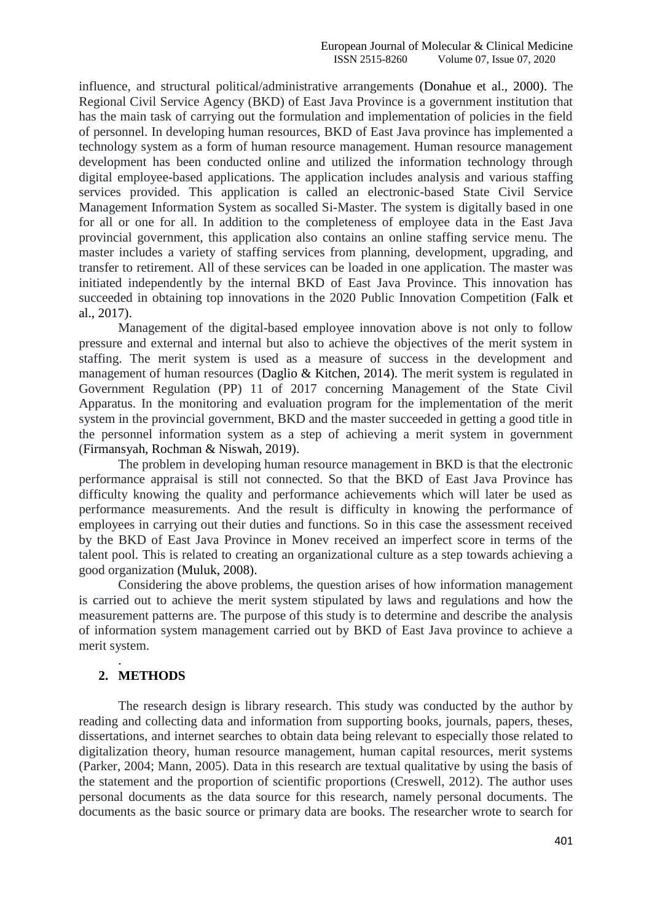influence, and structural political/administrative arrangements (Donahue et al., 2000). The Regional Civil Service Agency (BKD) of East Java Province is a government institution that has the main task of carrying out the formulation and implementation of policies in the field of personnel. In developing human resources, BKD of East Java province has implemented a technology system as a form of human resource management. Human resource management development has been conducted online and utilized the information technology through digital employee-based applications. The application includes analysis and various staffing services provided. This application is called an electronic-based State Civil Service Management Information System as socalled Si-Master. The system is digitally based in one for all or one for all. In addition to the completeness of employee data in the East Java provincial government, this application also contains an online staffing service menu. The master includes a variety of staffing services from planning, development, upgrading, and transfer to retirement. All of these services can be loaded in one application. The master was initiated independently by the internal BKD of East Java Province. This innovation has succeeded in obtaining top innovations in the 2020 Public Innovation Competition (Falk et al., 2017).

Management of the digital-based employee innovation above is not only to follow pressure and external and internal but also to achieve the objectives of the merit system in staffing. The merit system is used as a measure of success in the development and management of human resources (Daglio & Kitchen, 2014). The merit system is regulated in Government Regulation (PP) 11 of 2017 concerning Management of the State Civil Apparatus. In the monitoring and evaluation program for the implementation of the merit system in the provincial government, BKD and the master succeeded in getting a good title in the personnel information system as a step of achieving a merit system in government (Firmansyah, Rochman & Niswah, 2019).

The problem in developing human resource management in BKD is that the electronic performance appraisal is still not connected. So that the BKD of East Java Province has difficulty knowing the quality and performance achievements which will later be used as performance measurements. And the result is difficulty in knowing the performance of employees in carrying out their duties and functions. So in this case the assessment received by the BKD of East Java Province in Monev received an imperfect score in terms of the talent pool. This is related to creating an organizational culture as a step towards achieving a good organization (Muluk, 2008).

Considering the above problems, the question arises of how information management is carried out to achieve the merit system stipulated by laws and regulations and how the measurement patterns are. The purpose of this study is to determine and describe the analysis of information system management carried out by BKD of East Java province to achieve a merit system.

# **2. METHODS**

.

The research design is library research. This study was conducted by the author by reading and collecting data and information from supporting books, journals, papers, theses, dissertations, and internet searches to obtain data being relevant to especially those related to digitalization theory, human resource management, human capital resources, merit systems (Parker, 2004; Mann, 2005). Data in this research are textual qualitative by using the basis of the statement and the proportion of scientific proportions (Creswell, 2012). The author uses personal documents as the data source for this research, namely personal documents. The documents as the basic source or primary data are books. The researcher wrote to search for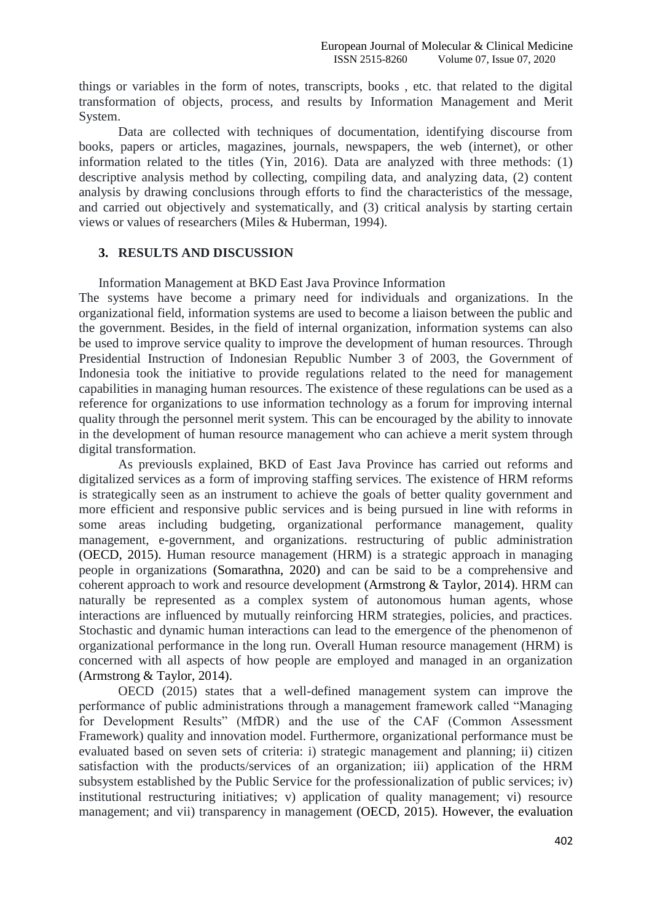things or variables in the form of notes, transcripts, books , etc. that related to the digital transformation of objects, process, and results by Information Management and Merit System.

Data are collected with techniques of documentation, identifying discourse from books, papers or articles, magazines, journals, newspapers, the web (internet), or other information related to the titles (Yin, 2016). Data are analyzed with three methods: (1) descriptive analysis method by collecting, compiling data, and analyzing data, (2) content analysis by drawing conclusions through efforts to find the characteristics of the message, and carried out objectively and systematically, and (3) critical analysis by starting certain views or values of researchers (Miles & Huberman, 1994).

### **3. RESULTS AND DISCUSSION**

Information Management at BKD East Java Province Information

The systems have become a primary need for individuals and organizations. In the organizational field, information systems are used to become a liaison between the public and the government. Besides, in the field of internal organization, information systems can also be used to improve service quality to improve the development of human resources. Through Presidential Instruction of Indonesian Republic Number 3 of 2003, the Government of Indonesia took the initiative to provide regulations related to the need for management capabilities in managing human resources. The existence of these regulations can be used as a reference for organizations to use information technology as a forum for improving internal quality through the personnel merit system. This can be encouraged by the ability to innovate in the development of human resource management who can achieve a merit system through digital transformation.

As previousls explained, BKD of East Java Province has carried out reforms and digitalized services as a form of improving staffing services. The existence of HRM reforms is strategically seen as an instrument to achieve the goals of better quality government and more efficient and responsive public services and is being pursued in line with reforms in some areas including budgeting, organizational performance management, quality management, e-government, and organizations. restructuring of public administration (OECD, 2015). Human resource management (HRM) is a strategic approach in managing people in organizations (Somarathna, 2020) and can be said to be a comprehensive and coherent approach to work and resource development (Armstrong & Taylor, 2014). HRM can naturally be represented as a complex system of autonomous human agents, whose interactions are influenced by mutually reinforcing HRM strategies, policies, and practices. Stochastic and dynamic human interactions can lead to the emergence of the phenomenon of organizational performance in the long run. Overall Human resource management (HRM) is concerned with all aspects of how people are employed and managed in an organization (Armstrong & Taylor, 2014).

OECD (2015) states that a well-defined management system can improve the performance of public administrations through a management framework called "Managing for Development Results" (MfDR) and the use of the CAF (Common Assessment Framework) quality and innovation model. Furthermore, organizational performance must be evaluated based on seven sets of criteria: i) strategic management and planning; ii) citizen satisfaction with the products/services of an organization; iii) application of the HRM subsystem established by the Public Service for the professionalization of public services; iv) institutional restructuring initiatives; v) application of quality management; vi) resource management; and vii) transparency in management (OECD, 2015). However, the evaluation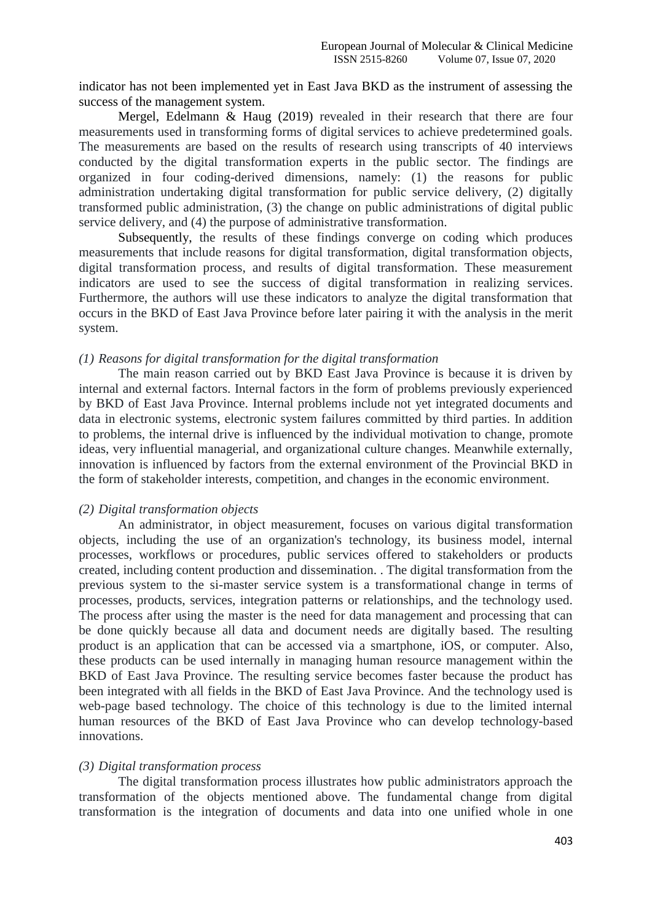indicator has not been implemented yet in East Java BKD as the instrument of assessing the success of the management system.

Mergel, Edelmann & Haug (2019) revealed in their research that there are four measurements used in transforming forms of digital services to achieve predetermined goals. The measurements are based on the results of research using transcripts of 40 interviews conducted by the digital transformation experts in the public sector. The findings are organized in four coding-derived dimensions, namely: (1) the reasons for public administration undertaking digital transformation for public service delivery, (2) digitally transformed public administration, (3) the change on public administrations of digital public service delivery, and (4) the purpose of administrative transformation.

Subsequently, the results of these findings converge on coding which produces measurements that include reasons for digital transformation, digital transformation objects, digital transformation process, and results of digital transformation. These measurement indicators are used to see the success of digital transformation in realizing services. Furthermore, the authors will use these indicators to analyze the digital transformation that occurs in the BKD of East Java Province before later pairing it with the analysis in the merit system.

#### *(1) Reasons for digital transformation for the digital transformation*

The main reason carried out by BKD East Java Province is because it is driven by internal and external factors. Internal factors in the form of problems previously experienced by BKD of East Java Province. Internal problems include not yet integrated documents and data in electronic systems, electronic system failures committed by third parties. In addition to problems, the internal drive is influenced by the individual motivation to change, promote ideas, very influential managerial, and organizational culture changes. Meanwhile externally, innovation is influenced by factors from the external environment of the Provincial BKD in the form of stakeholder interests, competition, and changes in the economic environment.

#### *(2) Digital transformation objects*

An administrator, in object measurement, focuses on various digital transformation objects, including the use of an organization's technology, its business model, internal processes, workflows or procedures, public services offered to stakeholders or products created, including content production and dissemination. . The digital transformation from the previous system to the si-master service system is a transformational change in terms of processes, products, services, integration patterns or relationships, and the technology used. The process after using the master is the need for data management and processing that can be done quickly because all data and document needs are digitally based. The resulting product is an application that can be accessed via a smartphone, iOS, or computer. Also, these products can be used internally in managing human resource management within the BKD of East Java Province. The resulting service becomes faster because the product has been integrated with all fields in the BKD of East Java Province. And the technology used is web-page based technology. The choice of this technology is due to the limited internal human resources of the BKD of East Java Province who can develop technology-based innovations.

#### *(3) Digital transformation process*

The digital transformation process illustrates how public administrators approach the transformation of the objects mentioned above. The fundamental change from digital transformation is the integration of documents and data into one unified whole in one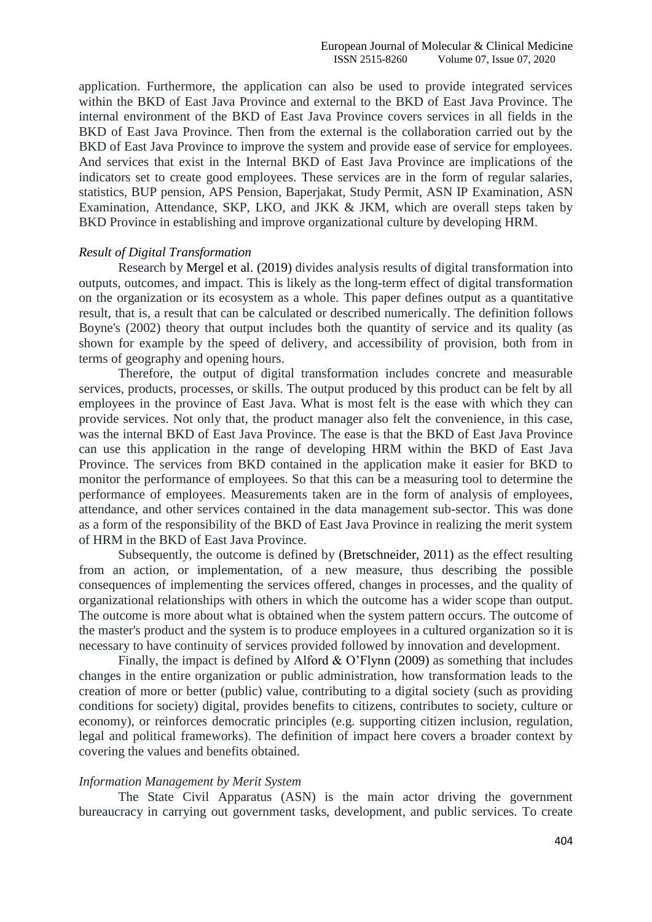application. Furthermore, the application can also be used to provide integrated services within the BKD of East Java Province and external to the BKD of East Java Province. The internal environment of the BKD of East Java Province covers services in all fields in the BKD of East Java Province. Then from the external is the collaboration carried out by the BKD of East Java Province to improve the system and provide ease of service for employees. And services that exist in the Internal BKD of East Java Province are implications of the indicators set to create good employees. These services are in the form of regular salaries, statistics, BUP pension, APS Pension, Baperjakat, Study Permit, ASN IP Examination, ASN Examination, Attendance, SKP, LKO, and JKK & JKM, which are overall steps taken by BKD Province in establishing and improve organizational culture by developing HRM.

#### *Result of Digital Transformation*

Research by Mergel et al. (2019) divides analysis results of digital transformation into outputs, outcomes, and impact. This is likely as the long-term effect of digital transformation on the organization or its ecosystem as a whole. This paper defines output as a quantitative result, that is, a result that can be calculated or described numerically. The definition follows Boyne's (2002) theory that output includes both the quantity of service and its quality (as shown for example by the speed of delivery, and accessibility of provision, both from in terms of geography and opening hours.

Therefore, the output of digital transformation includes concrete and measurable services, products, processes, or skills. The output produced by this product can be felt by all employees in the province of East Java. What is most felt is the ease with which they can provide services. Not only that, the product manager also felt the convenience, in this case, was the internal BKD of East Java Province. The ease is that the BKD of East Java Province can use this application in the range of developing HRM within the BKD of East Java Province. The services from BKD contained in the application make it easier for BKD to monitor the performance of employees. So that this can be a measuring tool to determine the performance of employees. Measurements taken are in the form of analysis of employees, attendance, and other services contained in the data management sub-sector. This was done as a form of the responsibility of the BKD of East Java Province in realizing the merit system of HRM in the BKD of East Java Province.

Subsequently, the outcome is defined by (Bretschneider, 2011) as the effect resulting from an action, or implementation, of a new measure, thus describing the possible consequences of implementing the services offered, changes in processes, and the quality of organizational relationships with others in which the outcome has a wider scope than output. The outcome is more about what is obtained when the system pattern occurs. The outcome of the master's product and the system is to produce employees in a cultured organization so it is necessary to have continuity of services provided followed by innovation and development.

Finally, the impact is defined by Alford & O'Flynn (2009) as something that includes changes in the entire organization or public administration, how transformation leads to the creation of more or better (public) value, contributing to a digital society (such as providing conditions for society) digital, provides benefits to citizens, contributes to society, culture or economy), or reinforces democratic principles (e.g. supporting citizen inclusion, regulation, legal and political frameworks). The definition of impact here covers a broader context by covering the values and benefits obtained.

#### *Information Management by Merit System*

The State Civil Apparatus (ASN) is the main actor driving the government bureaucracy in carrying out government tasks, development, and public services. To create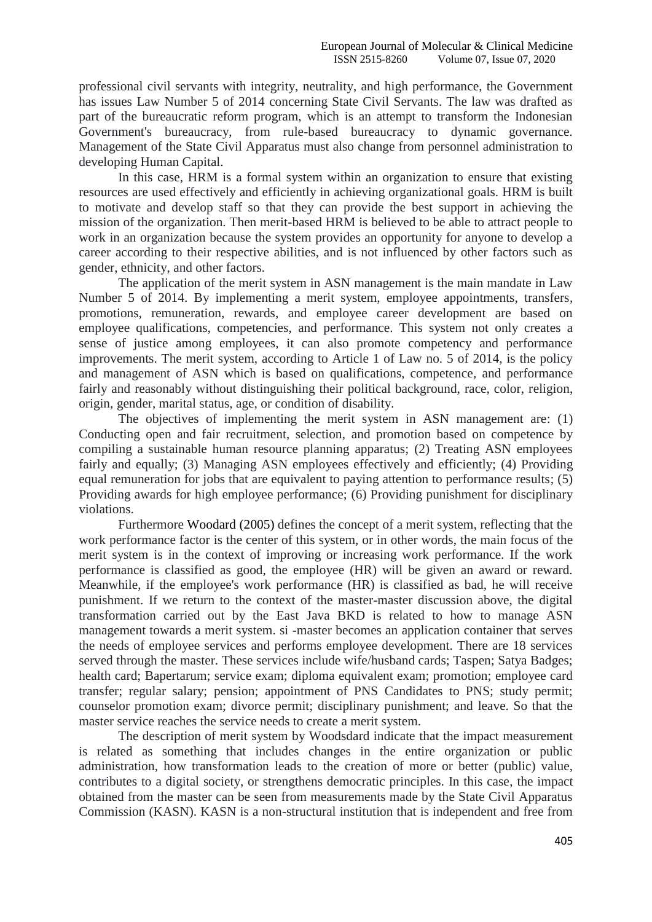professional civil servants with integrity, neutrality, and high performance, the Government has issues Law Number 5 of 2014 concerning State Civil Servants. The law was drafted as part of the bureaucratic reform program, which is an attempt to transform the Indonesian Government's bureaucracy, from rule-based bureaucracy to dynamic governance. Management of the State Civil Apparatus must also change from personnel administration to developing Human Capital.

In this case, HRM is a formal system within an organization to ensure that existing resources are used effectively and efficiently in achieving organizational goals. HRM is built to motivate and develop staff so that they can provide the best support in achieving the mission of the organization. Then merit-based HRM is believed to be able to attract people to work in an organization because the system provides an opportunity for anyone to develop a career according to their respective abilities, and is not influenced by other factors such as gender, ethnicity, and other factors.

The application of the merit system in ASN management is the main mandate in Law Number 5 of 2014. By implementing a merit system, employee appointments, transfers, promotions, remuneration, rewards, and employee career development are based on employee qualifications, competencies, and performance. This system not only creates a sense of justice among employees, it can also promote competency and performance improvements. The merit system, according to Article 1 of Law no. 5 of 2014, is the policy and management of ASN which is based on qualifications, competence, and performance fairly and reasonably without distinguishing their political background, race, color, religion, origin, gender, marital status, age, or condition of disability.

The objectives of implementing the merit system in ASN management are: (1) Conducting open and fair recruitment, selection, and promotion based on competence by compiling a sustainable human resource planning apparatus; (2) Treating ASN employees fairly and equally; (3) Managing ASN employees effectively and efficiently; (4) Providing equal remuneration for jobs that are equivalent to paying attention to performance results; (5) Providing awards for high employee performance; (6) Providing punishment for disciplinary violations.

Furthermore Woodard (2005) defines the concept of a merit system, reflecting that the work performance factor is the center of this system, or in other words, the main focus of the merit system is in the context of improving or increasing work performance. If the work performance is classified as good, the employee (HR) will be given an award or reward. Meanwhile, if the employee's work performance (HR) is classified as bad, he will receive punishment. If we return to the context of the master-master discussion above, the digital transformation carried out by the East Java BKD is related to how to manage ASN management towards a merit system. si -master becomes an application container that serves the needs of employee services and performs employee development. There are 18 services served through the master. These services include wife/husband cards; Taspen; Satya Badges; health card; Bapertarum; service exam; diploma equivalent exam; promotion; employee card transfer; regular salary; pension; appointment of PNS Candidates to PNS; study permit; counselor promotion exam; divorce permit; disciplinary punishment; and leave. So that the master service reaches the service needs to create a merit system.

The description of merit system by Woodsdard indicate that the impact measurement is related as something that includes changes in the entire organization or public administration, how transformation leads to the creation of more or better (public) value, contributes to a digital society, or strengthens democratic principles. In this case, the impact obtained from the master can be seen from measurements made by the State Civil Apparatus Commission (KASN). KASN is a non-structural institution that is independent and free from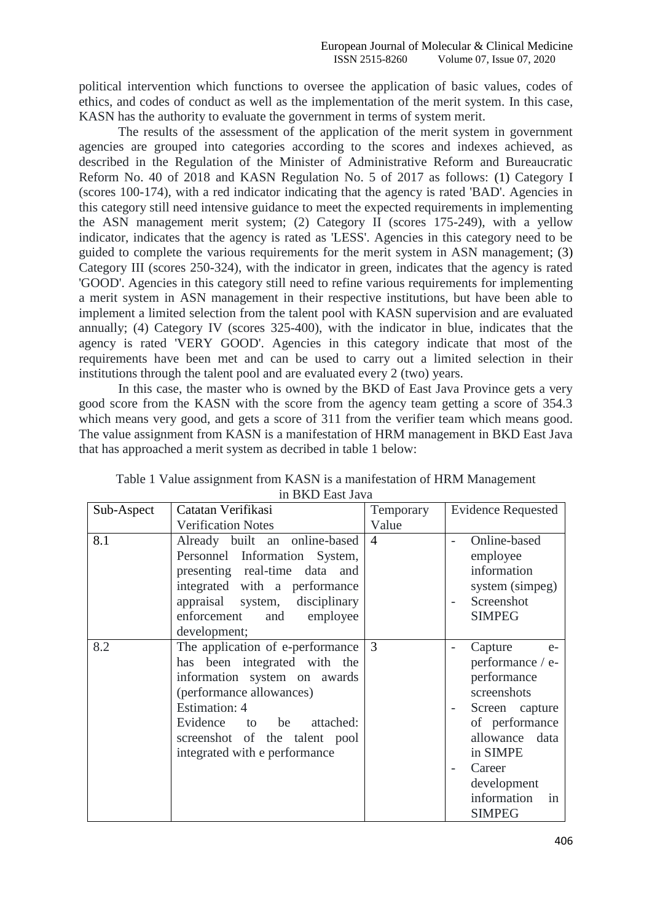political intervention which functions to oversee the application of basic values, codes of ethics, and codes of conduct as well as the implementation of the merit system. In this case, KASN has the authority to evaluate the government in terms of system merit.

The results of the assessment of the application of the merit system in government agencies are grouped into categories according to the scores and indexes achieved, as described in the Regulation of the Minister of Administrative Reform and Bureaucratic Reform No. 40 of 2018 and KASN Regulation No. 5 of 2017 as follows: (1) Category I (scores 100-174), with a red indicator indicating that the agency is rated 'BAD'. Agencies in this category still need intensive guidance to meet the expected requirements in implementing the ASN management merit system; (2) Category II (scores 175-249), with a yellow indicator, indicates that the agency is rated as 'LESS'. Agencies in this category need to be guided to complete the various requirements for the merit system in ASN management; (3) Category III (scores 250-324), with the indicator in green, indicates that the agency is rated 'GOOD'. Agencies in this category still need to refine various requirements for implementing a merit system in ASN management in their respective institutions, but have been able to implement a limited selection from the talent pool with KASN supervision and are evaluated annually; (4) Category IV (scores 325-400), with the indicator in blue, indicates that the agency is rated 'VERY GOOD'. Agencies in this category indicate that most of the requirements have been met and can be used to carry out a limited selection in their institutions through the talent pool and are evaluated every 2 (two) years.

In this case, the master who is owned by the BKD of East Java Province gets a very good score from the KASN with the score from the agency team getting a score of 354.3 which means very good, and gets a score of 311 from the verifier team which means good. The value assignment from KASN is a manifestation of HRM management in BKD East Java that has approached a merit system as decribed in table 1 below:

| Sub-Aspect | Catatan Verifikasi               | Temporary      | <b>Evidence Requested</b> |  |  |
|------------|----------------------------------|----------------|---------------------------|--|--|
|            | <b>Verification Notes</b>        | Value          |                           |  |  |
| 8.1        | Already built an online-based    | $\overline{4}$ | Online-based              |  |  |
|            | Personnel Information System,    |                | employee                  |  |  |
|            | presenting real-time data and    |                | information               |  |  |
|            | integrated with a performance    |                | system (simpeg)           |  |  |
|            | appraisal system, disciplinary   |                | Screenshot                |  |  |
|            | enforcement<br>and employee      |                | <b>SIMPEG</b>             |  |  |
|            | development;                     |                |                           |  |  |
| 8.2        | The application of e-performance | 3              | Capture<br>$e-$           |  |  |
|            | has been integrated with the     |                | performance / e-          |  |  |
|            | information system on awards     |                | performance               |  |  |
|            | (performance allowances)         |                | screenshots               |  |  |
|            | <b>Estimation: 4</b>             |                | Screen capture            |  |  |
|            | Evidence to be<br>attached:      |                | of performance            |  |  |
|            | screenshot of the talent pool    |                | allowance data            |  |  |
|            | integrated with e performance    |                | in SIMPE                  |  |  |
|            |                                  |                | Career                    |  |  |
|            |                                  |                | development               |  |  |
|            |                                  |                | information<br>in         |  |  |
|            |                                  |                | <b>SIMPEG</b>             |  |  |

| Table 1 Value assignment from KASN is a manifestation of HRM Management |                  |  |  |
|-------------------------------------------------------------------------|------------------|--|--|
|                                                                         | in BKD East Java |  |  |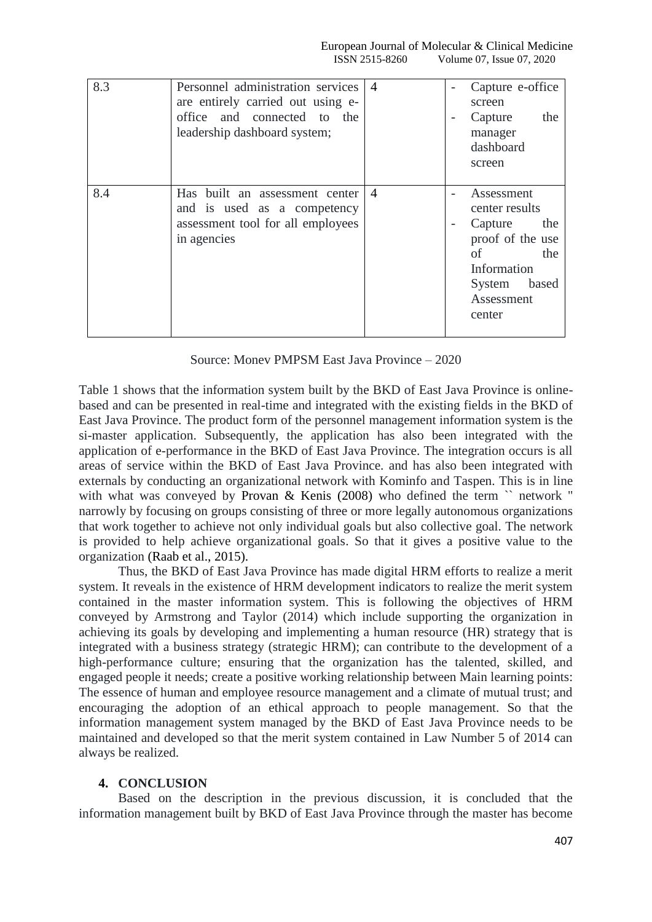| 8.3 | Personnel administration services<br>are entirely carried out using e-<br>office and connected to the<br>leadership dashboard system; | $\overline{A}$ |   | Capture e-office<br>screen<br>Capture<br>the<br>manager<br>dashboard<br>screen                                                            |
|-----|---------------------------------------------------------------------------------------------------------------------------------------|----------------|---|-------------------------------------------------------------------------------------------------------------------------------------------|
| 8.4 | Has built an assessment center<br>and is used as a competency<br>assessment tool for all employees<br>in agencies                     | $\overline{4}$ | - | Assessment<br>center results<br>Capture<br>the<br>proof of the use<br>of<br>the<br>Information<br>based<br>System<br>Assessment<br>center |

Source: Monev PMPSM East Java Province – 2020

Table 1 shows that the information system built by the BKD of East Java Province is onlinebased and can be presented in real-time and integrated with the existing fields in the BKD of East Java Province. The product form of the personnel management information system is the si-master application. Subsequently, the application has also been integrated with the application of e-performance in the BKD of East Java Province. The integration occurs is all areas of service within the BKD of East Java Province. and has also been integrated with externals by conducting an organizational network with Kominfo and Taspen. This is in line with what was conveyed by Provan & Kenis (2008) who defined the term `` network " narrowly by focusing on groups consisting of three or more legally autonomous organizations that work together to achieve not only individual goals but also collective goal. The network is provided to help achieve organizational goals. So that it gives a positive value to the organization (Raab et al., 2015).

Thus, the BKD of East Java Province has made digital HRM efforts to realize a merit system. It reveals in the existence of HRM development indicators to realize the merit system contained in the master information system. This is following the objectives of HRM conveyed by Armstrong and Taylor (2014) which include supporting the organization in achieving its goals by developing and implementing a human resource (HR) strategy that is integrated with a business strategy (strategic HRM); can contribute to the development of a high-performance culture; ensuring that the organization has the talented, skilled, and engaged people it needs; create a positive working relationship between Main learning points: The essence of human and employee resource management and a climate of mutual trust; and encouraging the adoption of an ethical approach to people management. So that the information management system managed by the BKD of East Java Province needs to be maintained and developed so that the merit system contained in Law Number 5 of 2014 can always be realized.

## **4. CONCLUSION**

Based on the description in the previous discussion, it is concluded that the information management built by BKD of East Java Province through the master has become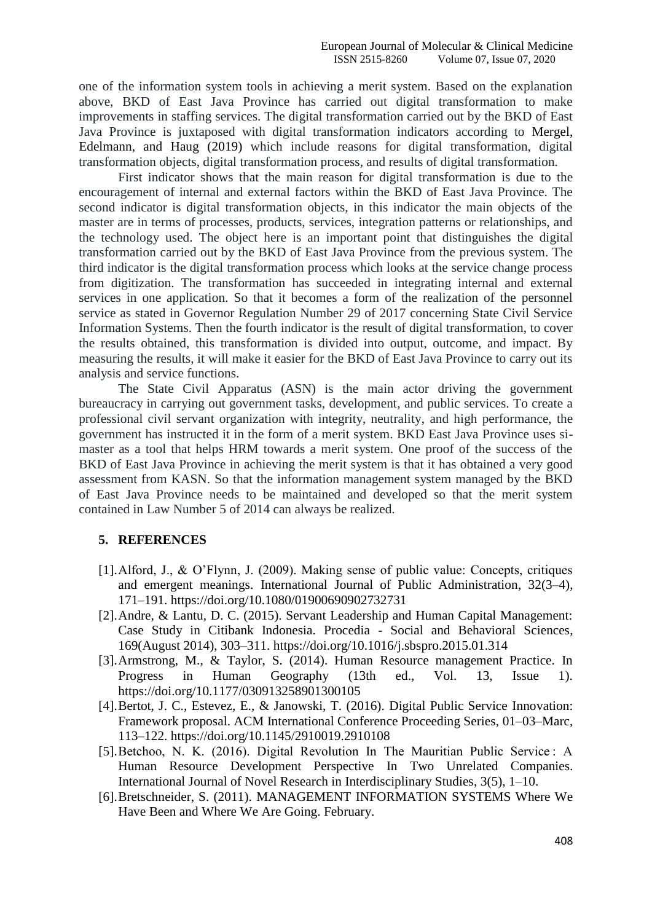one of the information system tools in achieving a merit system. Based on the explanation above, BKD of East Java Province has carried out digital transformation to make improvements in staffing services. The digital transformation carried out by the BKD of East Java Province is juxtaposed with digital transformation indicators according to Mergel, Edelmann, and Haug (2019) which include reasons for digital transformation, digital transformation objects, digital transformation process, and results of digital transformation.

First indicator shows that the main reason for digital transformation is due to the encouragement of internal and external factors within the BKD of East Java Province. The second indicator is digital transformation objects, in this indicator the main objects of the master are in terms of processes, products, services, integration patterns or relationships, and the technology used. The object here is an important point that distinguishes the digital transformation carried out by the BKD of East Java Province from the previous system. The third indicator is the digital transformation process which looks at the service change process from digitization. The transformation has succeeded in integrating internal and external services in one application. So that it becomes a form of the realization of the personnel service as stated in Governor Regulation Number 29 of 2017 concerning State Civil Service Information Systems. Then the fourth indicator is the result of digital transformation, to cover the results obtained, this transformation is divided into output, outcome, and impact. By measuring the results, it will make it easier for the BKD of East Java Province to carry out its analysis and service functions.

The State Civil Apparatus (ASN) is the main actor driving the government bureaucracy in carrying out government tasks, development, and public services. To create a professional civil servant organization with integrity, neutrality, and high performance, the government has instructed it in the form of a merit system. BKD East Java Province uses simaster as a tool that helps HRM towards a merit system. One proof of the success of the BKD of East Java Province in achieving the merit system is that it has obtained a very good assessment from KASN. So that the information management system managed by the BKD of East Java Province needs to be maintained and developed so that the merit system contained in Law Number 5 of 2014 can always be realized.

#### **5. REFERENCES**

- [1].Alford, J., & O'Flynn, J. (2009). Making sense of public value: Concepts, critiques and emergent meanings. International Journal of Public Administration, 32(3–4), 171–191. https://doi.org/10.1080/01900690902732731
- [2].Andre, & Lantu, D. C. (2015). Servant Leadership and Human Capital Management: Case Study in Citibank Indonesia. Procedia - Social and Behavioral Sciences, 169(August 2014), 303–311. https://doi.org/10.1016/j.sbspro.2015.01.314
- [3].Armstrong, M., & Taylor, S. (2014). Human Resource management Practice. In Progress in Human Geography (13th ed., Vol. 13, Issue 1). https://doi.org/10.1177/030913258901300105
- [4].Bertot, J. C., Estevez, E., & Janowski, T. (2016). Digital Public Service Innovation: Framework proposal. ACM International Conference Proceeding Series, 01–03–Marc, 113–122. https://doi.org/10.1145/2910019.2910108
- [5]. Betchoo, N. K. (2016). Digital Revolution In The Mauritian Public Service: A Human Resource Development Perspective In Two Unrelated Companies. International Journal of Novel Research in Interdisciplinary Studies, 3(5), 1–10.
- [6].Bretschneider, S. (2011). MANAGEMENT INFORMATION SYSTEMS Where We Have Been and Where We Are Going. February.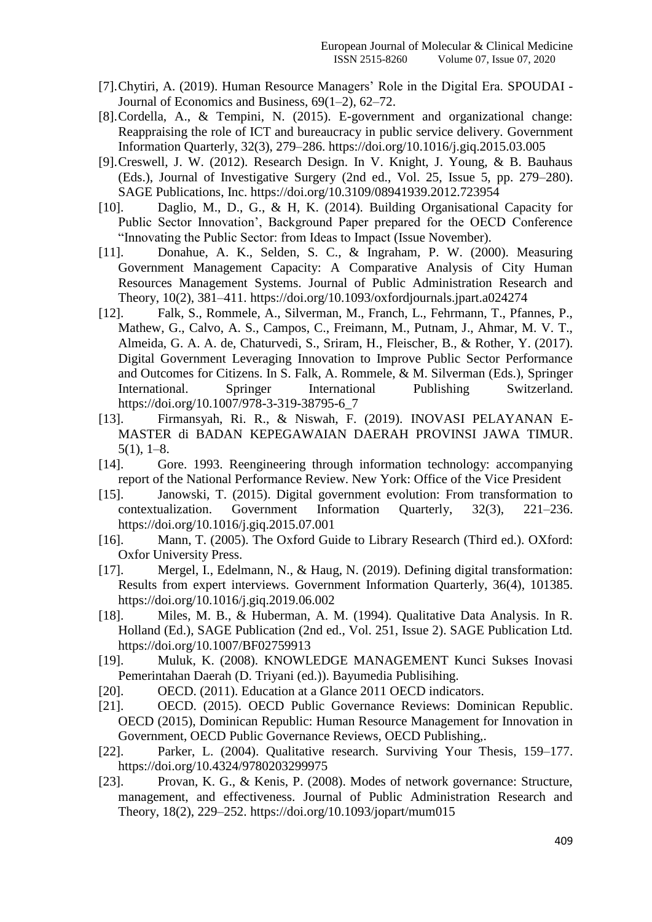- [7].Chytiri, A. (2019). Human Resource Managers' Role in the Digital Era. SPOUDAI Journal of Economics and Business, 69(1–2), 62–72.
- [8].Cordella, A., & Tempini, N. (2015). E-government and organizational change: Reappraising the role of ICT and bureaucracy in public service delivery. Government Information Quarterly, 32(3), 279–286. https://doi.org/10.1016/j.giq.2015.03.005
- [9].Creswell, J. W. (2012). Research Design. In V. Knight, J. Young, & B. Bauhaus (Eds.), Journal of Investigative Surgery (2nd ed., Vol. 25, Issue 5, pp. 279–280). SAGE Publications, Inc. https://doi.org/10.3109/08941939.2012.723954
- [10]. Daglio, M., D., G., & H, K. (2014). Building Organisational Capacity for Public Sector Innovation', Background Paper prepared for the OECD Conference "Innovating the Public Sector: from Ideas to Impact (Issue November).
- [11]. Donahue, A. K., Selden, S. C., & Ingraham, P. W. (2000). Measuring Government Management Capacity: A Comparative Analysis of City Human Resources Management Systems. Journal of Public Administration Research and Theory, 10(2), 381–411. https://doi.org/10.1093/oxfordjournals.jpart.a024274
- [12]. Falk, S., Rommele, A., Silverman, M., Franch, L., Fehrmann, T., Pfannes, P., Mathew, G., Calvo, A. S., Campos, C., Freimann, M., Putnam, J., Ahmar, M. V. T., Almeida, G. A. A. de, Chaturvedi, S., Sriram, H., Fleischer, B., & Rother, Y. (2017). Digital Government Leveraging Innovation to Improve Public Sector Performance and Outcomes for Citizens. In S. Falk, A. Rommele, & M. Silverman (Eds.), Springer International. Springer International Publishing Switzerland. https://doi.org/10.1007/978-3-319-38795-6\_7
- [13]. Firmansyah, Ri. R., & Niswah, F. (2019). INOVASI PELAYANAN E-MASTER di BADAN KEPEGAWAIAN DAERAH PROVINSI JAWA TIMUR. 5(1), 1–8.
- [14]. Gore. 1993. Reengineering through information technology: accompanying report of the National Performance Review. New York: Office of the Vice President
- [15]. Janowski, T. (2015). Digital government evolution: From transformation to contextualization. Government Information Quarterly, 32(3), 221–236. https://doi.org/10.1016/j.giq.2015.07.001
- [16]. Mann, T. (2005). The Oxford Guide to Library Research (Third ed.). OXford: Oxfor University Press.
- [17]. Mergel, I., Edelmann, N., & Haug, N. (2019). Defining digital transformation: Results from expert interviews. Government Information Quarterly, 36(4), 101385. https://doi.org/10.1016/j.giq.2019.06.002
- [18]. Miles, M. B., & Huberman, A. M. (1994). Qualitative Data Analysis. In R. Holland (Ed.), SAGE Publication (2nd ed., Vol. 251, Issue 2). SAGE Publication Ltd. https://doi.org/10.1007/BF02759913
- [19]. Muluk, K. (2008). KNOWLEDGE MANAGEMENT Kunci Sukses Inovasi Pemerintahan Daerah (D. Triyani (ed.)). Bayumedia Publisihing.
- [20]. OECD. (2011). Education at a Glance 2011 OECD indicators.
- [21]. OECD. (2015). OECD Public Governance Reviews: Dominican Republic. OECD (2015), Dominican Republic: Human Resource Management for Innovation in Government, OECD Public Governance Reviews, OECD Publishing,.
- [22]. Parker, L. (2004). Qualitative research. Surviving Your Thesis, 159–177. https://doi.org/10.4324/9780203299975
- [23]. Provan, K. G., & Kenis, P. (2008). Modes of network governance: Structure, management, and effectiveness. Journal of Public Administration Research and Theory, 18(2), 229–252. https://doi.org/10.1093/jopart/mum015